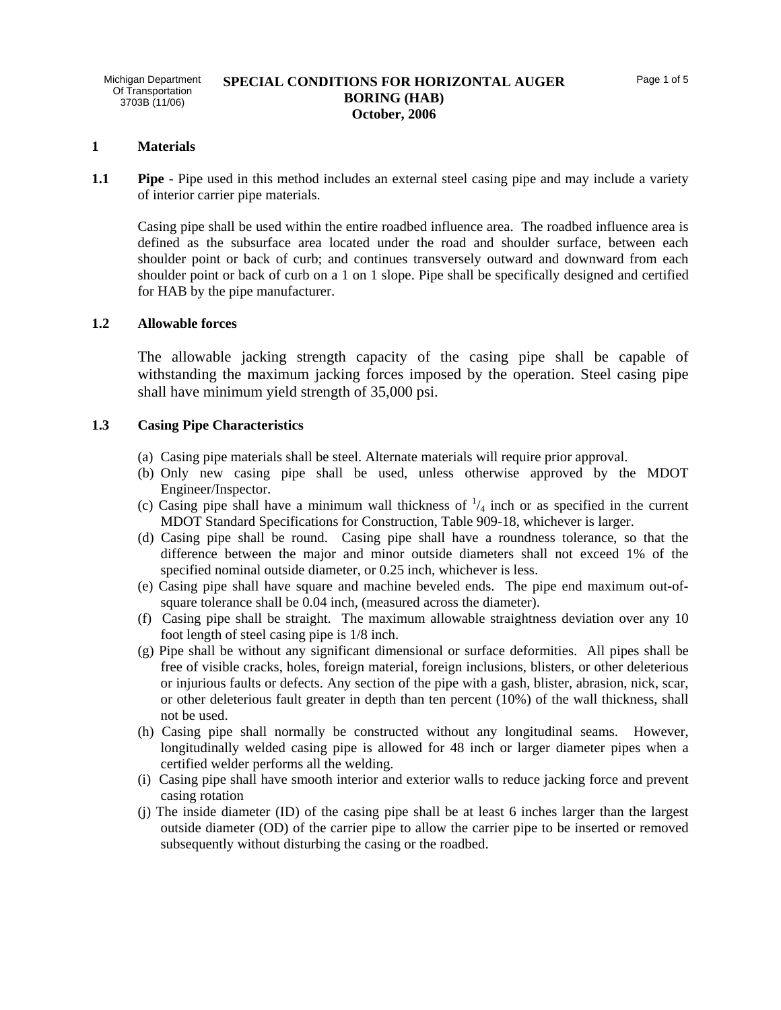Michigan Department Of Transportation 3703B (11/06)

# **SPECIAL CONDITIONS FOR HORIZONTAL AUGER BORING (HAB) October, 2006**

## **1 Materials**

**1.1 Pipe** - Pipe used in this method includes an external steel casing pipe and may include a variety of interior carrier pipe materials.

Casing pipe shall be used within the entire roadbed influence area. The roadbed influence area is defined as the subsurface area located under the road and shoulder surface, between each shoulder point or back of curb; and continues transversely outward and downward from each shoulder point or back of curb on a 1 on 1 slope. Pipe shall be specifically designed and certified for HAB by the pipe manufacturer.

# **1.2 Allowable forces**

The allowable jacking strength capacity of the casing pipe shall be capable of withstanding the maximum jacking forces imposed by the operation. Steel casing pipe shall have minimum yield strength of 35,000 psi.

#### **1.3 Casing Pipe Characteristics**

- (a) Casing pipe materials shall be steel. Alternate materials will require prior approval.
- (b) Only new casing pipe shall be used, unless otherwise approved by the MDOT Engineer/Inspector.
- (c) Casing pipe shall have a minimum wall thickness of  $\frac{1}{4}$  inch or as specified in the current MDOT Standard Specifications for Construction, Table 909-18, whichever is larger.
- (d) Casing pipe shall be round. Casing pipe shall have a roundness tolerance, so that the difference between the major and minor outside diameters shall not exceed 1% of the specified nominal outside diameter, or 0.25 inch, whichever is less.
- (e) Casing pipe shall have square and machine beveled ends. The pipe end maximum out-ofsquare tolerance shall be 0.04 inch, (measured across the diameter).
- (f) Casing pipe shall be straight. The maximum allowable straightness deviation over any 10 foot length of steel casing pipe is 1/8 inch.
- (g) Pipe shall be without any significant dimensional or surface deformities. All pipes shall be free of visible cracks, holes, foreign material, foreign inclusions, blisters, or other deleterious or injurious faults or defects. Any section of the pipe with a gash, blister, abrasion, nick, scar, or other deleterious fault greater in depth than ten percent (10%) of the wall thickness, shall not be used.
- (h) Casing pipe shall normally be constructed without any longitudinal seams. However, longitudinally welded casing pipe is allowed for 48 inch or larger diameter pipes when a certified welder performs all the welding.
- (i) Casing pipe shall have smooth interior and exterior walls to reduce jacking force and prevent casing rotation
- (j) The inside diameter (ID) of the casing pipe shall be at least 6 inches larger than the largest outside diameter (OD) of the carrier pipe to allow the carrier pipe to be inserted or removed subsequently without disturbing the casing or the roadbed.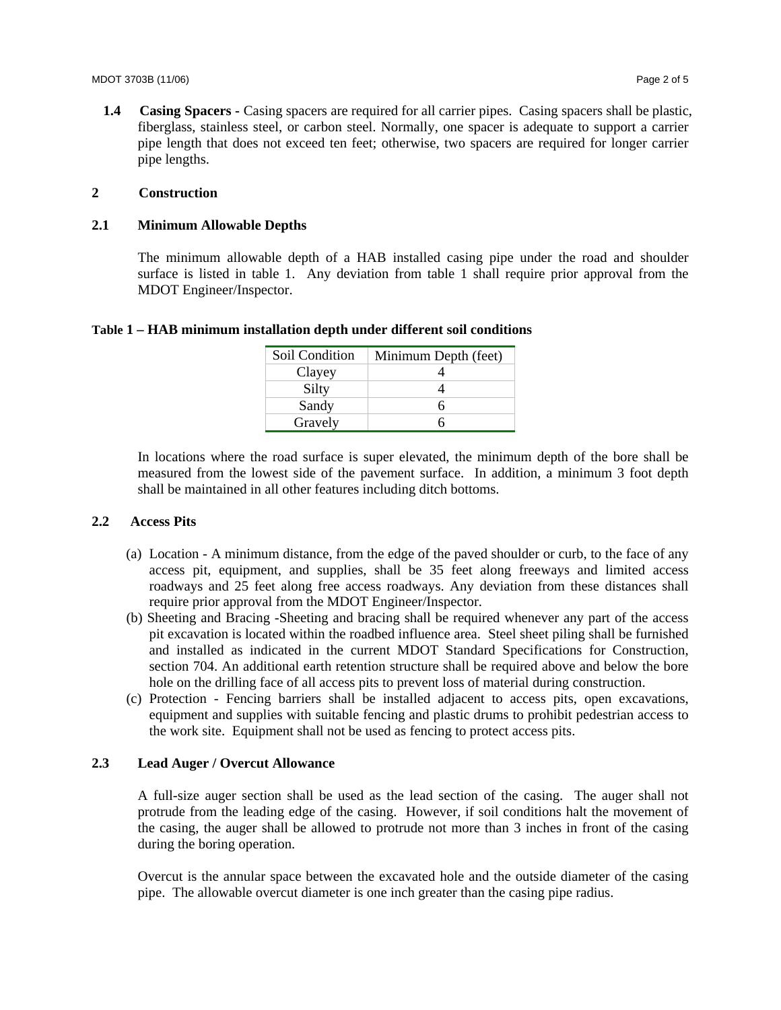**1.4 Casing Spacers - Casing spacers are required for all carrier pipes. Casing spacers shall be plastic,** fiberglass, stainless steel, or carbon steel. Normally, one spacer is adequate to support a carrier pipe length that does not exceed ten feet; otherwise, two spacers are required for longer carrier pipe lengths.

#### **2 Construction**

# **2.1 Minimum Allowable Depths**

The minimum allowable depth of a HAB installed casing pipe under the road and shoulder surface is listed in table 1. Any deviation from table 1 shall require prior approval from the MDOT Engineer/Inspector.

| Table 1 - HAB minimum installation depth under different soil conditions |
|--------------------------------------------------------------------------|
|--------------------------------------------------------------------------|

| Soil Condition | Minimum Depth (feet) |
|----------------|----------------------|
| Clayey         |                      |
| Silty          |                      |
| Sandy          | n                    |
| Gravely        |                      |

In locations where the road surface is super elevated, the minimum depth of the bore shall be measured from the lowest side of the pavement surface. In addition, a minimum 3 foot depth shall be maintained in all other features including ditch bottoms.

### **2.2 Access Pits**

- (a) Location A minimum distance, from the edge of the paved shoulder or curb, to the face of any access pit, equipment, and supplies, shall be 35 feet along freeways and limited access roadways and 25 feet along free access roadways. Any deviation from these distances shall require prior approval from the MDOT Engineer/Inspector.
- (b) Sheeting and Bracing -Sheeting and bracing shall be required whenever any part of the access pit excavation is located within the roadbed influence area. Steel sheet piling shall be furnished and installed as indicated in the current MDOT Standard Specifications for Construction, section 704. An additional earth retention structure shall be required above and below the bore hole on the drilling face of all access pits to prevent loss of material during construction.
- (c) Protection Fencing barriers shall be installed adjacent to access pits, open excavations, equipment and supplies with suitable fencing and plastic drums to prohibit pedestrian access to the work site. Equipment shall not be used as fencing to protect access pits.

#### **2.3 Lead Auger / Overcut Allowance**

A full-size auger section shall be used as the lead section of the casing. The auger shall not protrude from the leading edge of the casing. However, if soil conditions halt the movement of the casing, the auger shall be allowed to protrude not more than 3 inches in front of the casing during the boring operation.

Overcut is the annular space between the excavated hole and the outside diameter of the casing pipe. The allowable overcut diameter is one inch greater than the casing pipe radius.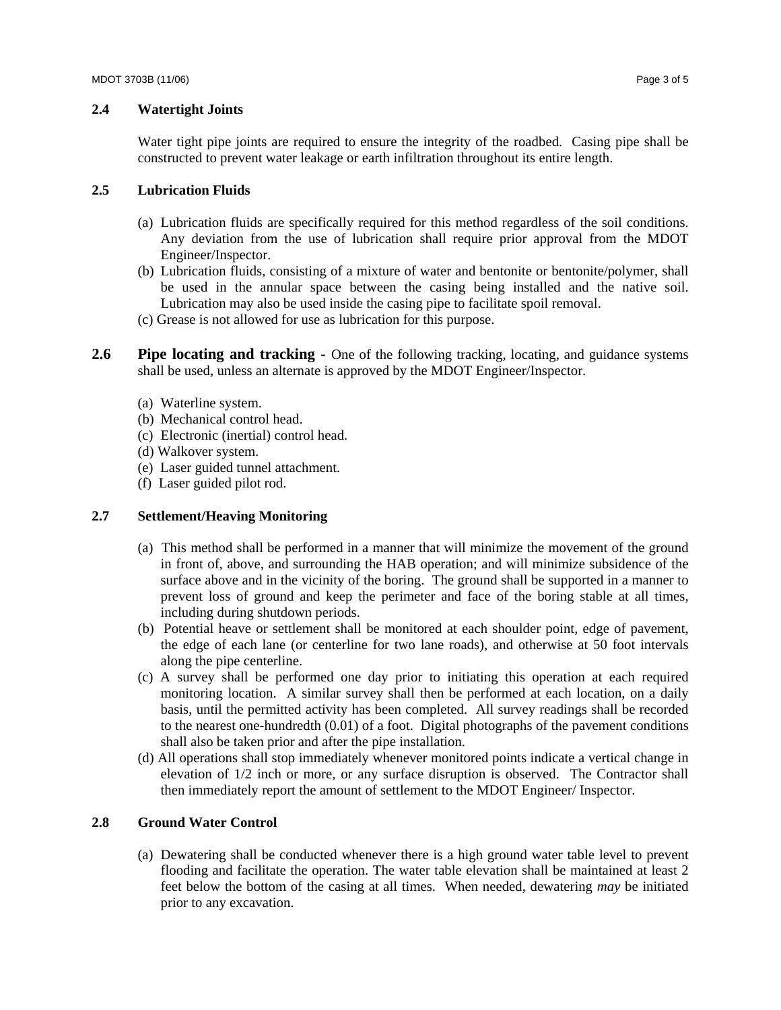## **2.4 Watertight Joints**

Water tight pipe joints are required to ensure the integrity of the roadbed. Casing pipe shall be constructed to prevent water leakage or earth infiltration throughout its entire length.

# **2.5 Lubrication Fluids**

- (a) Lubrication fluids are specifically required for this method regardless of the soil conditions. Any deviation from the use of lubrication shall require prior approval from the MDOT Engineer/Inspector.
- (b) Lubrication fluids, consisting of a mixture of water and bentonite or bentonite/polymer, shall be used in the annular space between the casing being installed and the native soil. Lubrication may also be used inside the casing pipe to facilitate spoil removal.
- (c) Grease is not allowed for use as lubrication for this purpose.
- **2.6 Pipe locating and tracking -** One of the following tracking, locating, and guidance systems shall be used, unless an alternate is approved by the MDOT Engineer/Inspector.
	- (a) Waterline system.
	- (b) Mechanical control head.
	- (c) Electronic (inertial) control head.
	- (d) Walkover system.
	- (e)Laser guided tunnel attachment.
	- (f) Laser guided pilot rod.

## **2.7 Settlement/Heaving Monitoring**

- (a) This method shall be performed in a manner that will minimize the movement of the ground in front of, above, and surrounding the HAB operation; and will minimize subsidence of the surface above and in the vicinity of the boring. The ground shall be supported in a manner to prevent loss of ground and keep the perimeter and face of the boring stable at all times, including during shutdown periods.
- (b) Potential heave or settlement shall be monitored at each shoulder point, edge of pavement, the edge of each lane (or centerline for two lane roads), and otherwise at 50 foot intervals along the pipe centerline.
- (c) A survey shall be performed one day prior to initiating this operation at each required monitoring location. A similar survey shall then be performed at each location, on a daily basis, until the permitted activity has been completed. All survey readings shall be recorded to the nearest one-hundredth (0.01) of a foot. Digital photographs of the pavement conditions shall also be taken prior and after the pipe installation.
- (d) All operations shall stop immediately whenever monitored points indicate a vertical change in elevation of 1/2 inch or more, or any surface disruption is observed. The Contractor shall then immediately report the amount of settlement to the MDOT Engineer/ Inspector.

# **2.8 Ground Water Control**

(a) Dewatering shall be conducted whenever there is a high ground water table level to prevent flooding and facilitate the operation. The water table elevation shall be maintained at least 2 feet below the bottom of the casing at all times. When needed, dewatering *may* be initiated prior to any excavation.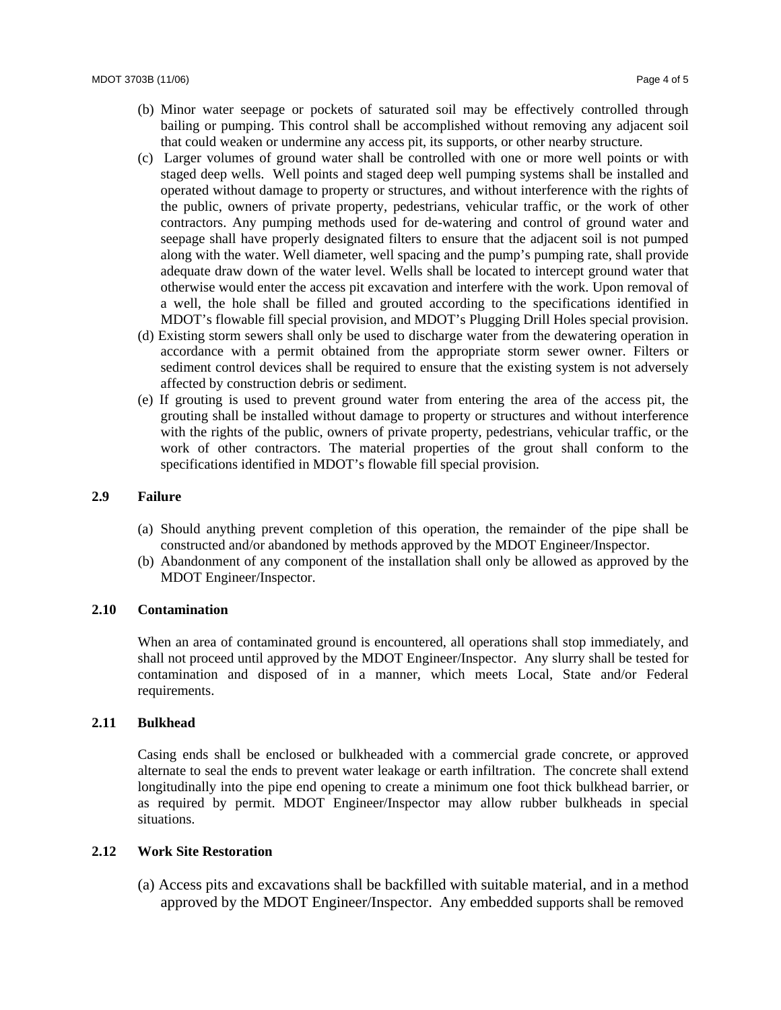- (b) Minor water seepage or pockets of saturated soil may be effectively controlled through bailing or pumping. This control shall be accomplished without removing any adjacent soil that could weaken or undermine any access pit, its supports, or other nearby structure.
- (c) Larger volumes of ground water shall be controlled with one or more well points or with staged deep wells. Well points and staged deep well pumping systems shall be installed and operated without damage to property or structures, and without interference with the rights of the public, owners of private property, pedestrians, vehicular traffic, or the work of other contractors. Any pumping methods used for de-watering and control of ground water and seepage shall have properly designated filters to ensure that the adjacent soil is not pumped along with the water. Well diameter, well spacing and the pump's pumping rate, shall provide adequate draw down of the water level. Wells shall be located to intercept ground water that otherwise would enter the access pit excavation and interfere with the work. Upon removal of a well, the hole shall be filled and grouted according to the specifications identified in MDOT's flowable fill special provision, and MDOT's Plugging Drill Holes special provision.
- (d) Existing storm sewers shall only be used to discharge water from the dewatering operation in accordance with a permit obtained from the appropriate storm sewer owner. Filters or sediment control devices shall be required to ensure that the existing system is not adversely affected by construction debris or sediment.
- (e) If grouting is used to prevent ground water from entering the area of the access pit, the grouting shall be installed without damage to property or structures and without interference with the rights of the public, owners of private property, pedestrians, vehicular traffic, or the work of other contractors. The material properties of the grout shall conform to the specifications identified in MDOT's flowable fill special provision.

# **2.9 Failure**

- (a) Should anything prevent completion of this operation, the remainder of the pipe shall be constructed and/or abandoned by methods approved by the MDOT Engineer/Inspector.
- (b) Abandonment of any component of the installation shall only be allowed as approved by the MDOT Engineer/Inspector.

# **2.10 Contamination**

When an area of contaminated ground is encountered, all operations shall stop immediately, and shall not proceed until approved by the MDOT Engineer/Inspector. Any slurry shall be tested for contamination and disposed of in a manner, which meets Local, State and/or Federal requirements.

# **2.11 Bulkhead**

Casing ends shall be enclosed or bulkheaded with a commercial grade concrete, or approved alternate to seal the ends to prevent water leakage or earth infiltration. The concrete shall extend longitudinally into the pipe end opening to create a minimum one foot thick bulkhead barrier, or as required by permit. MDOT Engineer/Inspector may allow rubber bulkheads in special situations.

## **2.12 Work Site Restoration**

(a) Access pits and excavations shall be backfilled with suitable material, and in a method approved by the MDOT Engineer/Inspector. Any embedded supports shall be removed